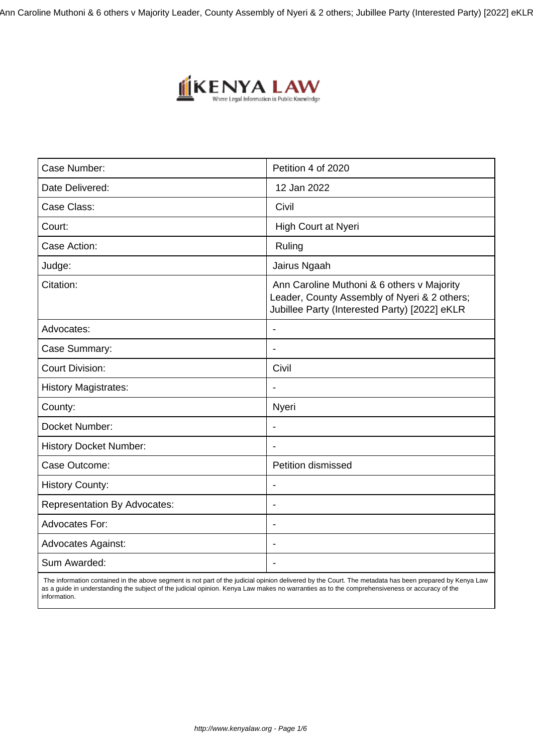Ann Caroline Muthoni & 6 others v Majority Leader, County Assembly of Nyeri & 2 others; Jubillee Party (Interested Party) [2022] eKLR



| Case Number:                        | Petition 4 of 2020                                                                                                                          |
|-------------------------------------|---------------------------------------------------------------------------------------------------------------------------------------------|
| Date Delivered:                     | 12 Jan 2022                                                                                                                                 |
| Case Class:                         | Civil                                                                                                                                       |
| Court:                              | High Court at Nyeri                                                                                                                         |
| Case Action:                        | Ruling                                                                                                                                      |
| Judge:                              | Jairus Ngaah                                                                                                                                |
| Citation:                           | Ann Caroline Muthoni & 6 others v Majority<br>Leader, County Assembly of Nyeri & 2 others;<br>Jubillee Party (Interested Party) [2022] eKLR |
| Advocates:                          | $\overline{\phantom{a}}$                                                                                                                    |
| Case Summary:                       | $\blacksquare$                                                                                                                              |
| <b>Court Division:</b>              | Civil                                                                                                                                       |
| <b>History Magistrates:</b>         |                                                                                                                                             |
| County:                             | Nyeri                                                                                                                                       |
| Docket Number:                      | $\blacksquare$                                                                                                                              |
| <b>History Docket Number:</b>       |                                                                                                                                             |
| Case Outcome:                       | Petition dismissed                                                                                                                          |
| <b>History County:</b>              |                                                                                                                                             |
| <b>Representation By Advocates:</b> | $\blacksquare$                                                                                                                              |
| Advocates For:                      | $\blacksquare$                                                                                                                              |
| <b>Advocates Against:</b>           |                                                                                                                                             |
| Sum Awarded:                        |                                                                                                                                             |

 The information contained in the above segment is not part of the judicial opinion delivered by the Court. The metadata has been prepared by Kenya Law as a guide in understanding the subject of the judicial opinion. Kenya Law makes no warranties as to the comprehensiveness or accuracy of the information.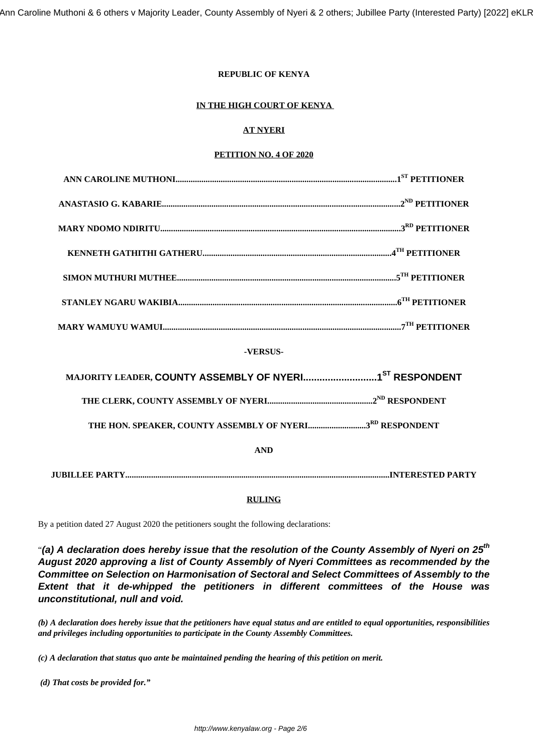Ann Caroline Muthoni & 6 others v Majority Leader, County Assembly of Nyeri & 2 others; Jubillee Party (Interested Party) [2022] eKLR

## **REPUBLIC OF KENYA**

## **IN THE HIGH COURT OF KENYA**

# **AT NYERI**

## **PETITION NO. 4 OF 2020**

#### **-VERSUS-**

| THE HON. SPEAKER, COUNTY ASSEMBLY OF NYERI3RD RESPONDENT |  |  |
|----------------------------------------------------------|--|--|
| <b>AND</b>                                               |  |  |
| INTERESTED PARTY                                         |  |  |

#### **RULING**

By a petition dated 27 August 2020 the petitioners sought the following declarations:

"**(a) A declaration does hereby issue that the resolution of the County Assembly of Nyeri on 25th August 2020 approving a list of County Assembly of Nyeri Committees as recommended by the Committee on Selection on Harmonisation of Sectoral and Select Committees of Assembly to the Extent that it de-whipped the petitioners in different committees of the House was unconstitutional, null and void.**

*(b) A declaration does hereby issue that the petitioners have equal status and are entitled to equal opportunities, responsibilities and privileges including opportunities to participate in the County Assembly Committees.*

*(c) A declaration that status quo ante be maintained pending the hearing of this petition on merit.*

*(d) That costs be provided for."*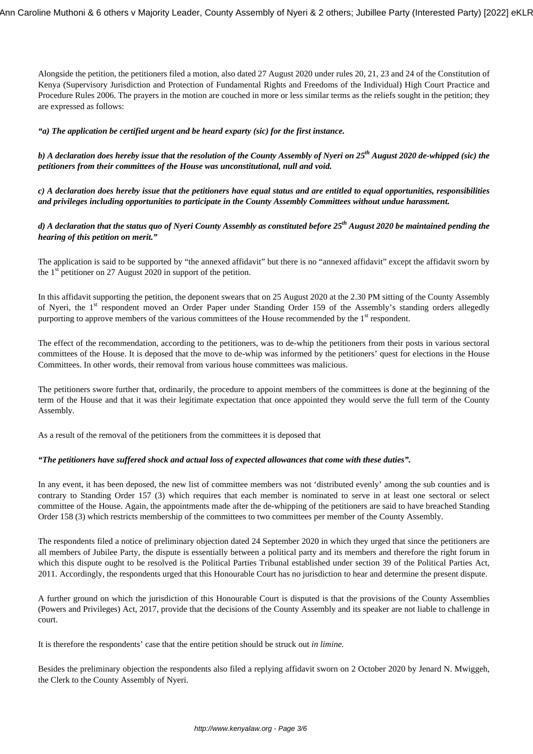Alongside the petition, the petitioners filed a motion, also dated 27 August 2020 under rules 20, 21, 23 and 24 of the Constitution of Kenya (Supervisory Jurisdiction and Protection of Fundamental Rights and Freedoms of the Individual) High Court Practice and Procedure Rules 2006. The prayers in the motion are couched in more or less similar terms as the reliefs sought in the petition; they are expressed as follows:

#### *"a) The application be certified urgent and be heard exparty (sic) for the first instance.*

*b) A declaration does hereby issue that the resolution of the County Assembly of Nyeri on 25th August 2020 de-whipped (sic) the petitioners from their committees of the House was unconstitutional, null and void.*

*c) A declaration does hereby issue that the petitioners have equal status and are entitled to equal opportunities, responsibilities and privileges including opportunities to participate in the County Assembly Committees without undue harassment.*

## *d) A declaration that the status quo of Nyeri County Assembly as constituted before 25th August 2020 be maintained pending the hearing of this petition on merit."*

The application is said to be supported by "the annexed affidavit" but there is no "annexed affidavit" except the affidavit sworn by the 1<sup>st</sup> petitioner on 27 August 2020 in support of the petition.

In this affidavit supporting the petition, the deponent swears that on 25 August 2020 at the 2.30 PM sitting of the County Assembly of Nyeri, the 1<sup>st</sup> respondent moved an Order Paper under Standing Order 159 of the Assembly's standing orders allegedly purporting to approve members of the various committees of the House recommended by the 1<sup>st</sup> respondent.

The effect of the recommendation, according to the petitioners, was to de-whip the petitioners from their posts in various sectoral committees of the House. It is deposed that the move to de-whip was informed by the petitioners' quest for elections in the House Committees. In other words, their removal from various house committees was malicious.

The petitioners swore further that, ordinarily, the procedure to appoint members of the committees is done at the beginning of the term of the House and that it was their legitimate expectation that once appointed they would serve the full term of the County Assembly.

As a result of the removal of the petitioners from the committees it is deposed that

#### *"The petitioners have suffered shock and actual loss of expected allowances that come with these duties".*

In any event, it has been deposed, the new list of committee members was not 'distributed evenly' among the sub counties and is contrary to Standing Order 157 (3) which requires that each member is nominated to serve in at least one sectoral or select committee of the House. Again, the appointments made after the de-whipping of the petitioners are said to have breached Standing Order 158 (3) which restricts membership of the committees to two committees per member of the County Assembly.

The respondents filed a notice of preliminary objection dated 24 September 2020 in which they urged that since the petitioners are all members of Jubilee Party, the dispute is essentially between a political party and its members and therefore the right forum in which this dispute ought to be resolved is the Political Parties Tribunal established under section 39 of the Political Parties Act, 2011. Accordingly, the respondents urged that this Honourable Court has no jurisdiction to hear and determine the present dispute.

A further ground on which the jurisdiction of this Honourable Court is disputed is that the provisions of the County Assemblies (Powers and Privileges) Act, 2017, provide that the decisions of the County Assembly and its speaker are not liable to challenge in court.

It is therefore the respondents' case that the entire petition should be struck out *in limine.*

Besides the preliminary objection the respondents also filed a replying affidavit sworn on 2 October 2020 by Jenard N. Mwiggeh, the Clerk to the County Assembly of Nyeri.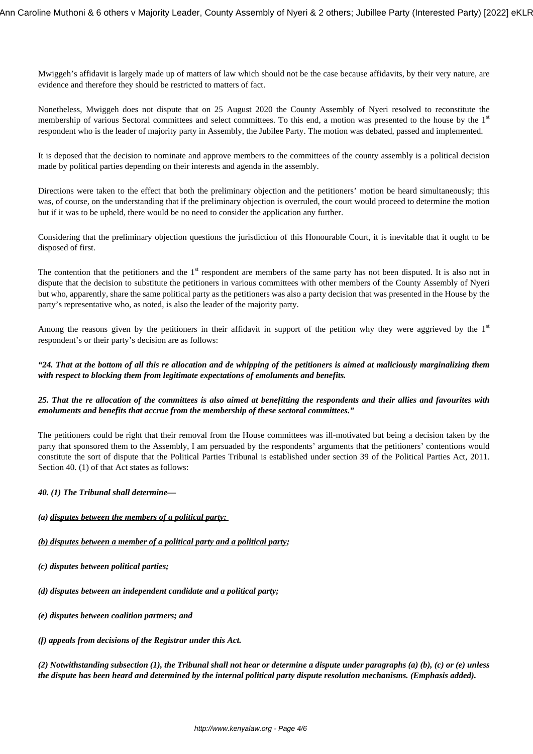Mwiggeh's affidavit is largely made up of matters of law which should not be the case because affidavits, by their very nature, are evidence and therefore they should be restricted to matters of fact.

Nonetheless, Mwiggeh does not dispute that on 25 August 2020 the County Assembly of Nyeri resolved to reconstitute the membership of various Sectoral committees and select committees. To this end, a motion was presented to the house by the  $1<sup>st</sup>$ respondent who is the leader of majority party in Assembly, the Jubilee Party. The motion was debated, passed and implemented.

It is deposed that the decision to nominate and approve members to the committees of the county assembly is a political decision made by political parties depending on their interests and agenda in the assembly.

Directions were taken to the effect that both the preliminary objection and the petitioners' motion be heard simultaneously; this was, of course, on the understanding that if the preliminary objection is overruled, the court would proceed to determine the motion but if it was to be upheld, there would be no need to consider the application any further.

Considering that the preliminary objection questions the jurisdiction of this Honourable Court, it is inevitable that it ought to be disposed of first.

The contention that the petitioners and the  $1<sup>st</sup>$  respondent are members of the same party has not been disputed. It is also not in dispute that the decision to substitute the petitioners in various committees with other members of the County Assembly of Nyeri but who, apparently, share the same political party as the petitioners was also a party decision that was presented in the House by the party's representative who, as noted, is also the leader of the majority party.

Among the reasons given by the petitioners in their affidavit in support of the petition why they were aggrieved by the  $1<sup>st</sup>$ respondent's or their party's decision are as follows:

#### *"24. That at the bottom of all this re allocation and de whipping of the petitioners is aimed at maliciously marginalizing them with respect to blocking them from legitimate expectations of emoluments and benefits.*

## *25. That the re allocation of the committees is also aimed at benefitting the respondents and their allies and favourites with emoluments and benefits that accrue from the membership of these sectoral committees."*

The petitioners could be right that their removal from the House committees was ill-motivated but being a decision taken by the party that sponsored them to the Assembly, I am persuaded by the respondents' arguments that the petitioners' contentions would constitute the sort of dispute that the Political Parties Tribunal is established under section 39 of the Political Parties Act, 2011. Section 40. (1) of that Act states as follows:

## *40. (1) The Tribunal shall determine—*

## *(a) disputes between the members of a political party;*

#### *(b) disputes between a member of a political party and a political party;*

- *(c) disputes between political parties;*
- *(d) disputes between an independent candidate and a political party;*
- *(e) disputes between coalition partners; and*
- *(f) appeals from decisions of the Registrar under this Act.*

*(2) Notwithstanding subsection (1), the Tribunal shall not hear or determine a dispute under paragraphs (a) (b), (c) or (e) unless the dispute has been heard and determined by the internal political party dispute resolution mechanisms. (Emphasis added).*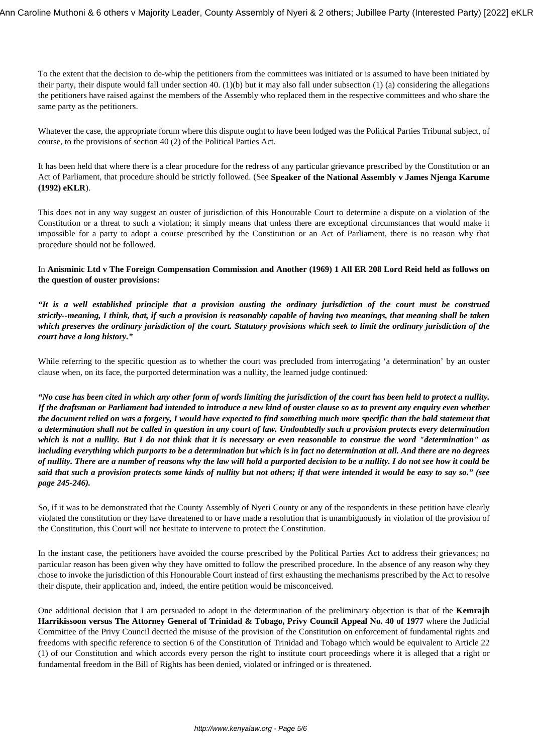To the extent that the decision to de-whip the petitioners from the committees was initiated or is assumed to have been initiated by their party, their dispute would fall under section 40. (1)(b) but it may also fall under subsection (1) (a) considering the allegations the petitioners have raised against the members of the Assembly who replaced them in the respective committees and who share the same party as the petitioners.

Whatever the case, the appropriate forum where this dispute ought to have been lodged was the Political Parties Tribunal subject, of course, to the provisions of section 40 (2) of the Political Parties Act.

It has been held that where there is a clear procedure for the redress of any particular grievance prescribed by the Constitution or an Act of Parliament, that procedure should be strictly followed. (See **Speaker of the National Assembly v James Njenga Karume (1992) eKLR**).

This does not in any way suggest an ouster of jurisdiction of this Honourable Court to determine a dispute on a violation of the Constitution or a threat to such a violation; it simply means that unless there are exceptional circumstances that would make it impossible for a party to adopt a course prescribed by the Constitution or an Act of Parliament, there is no reason why that procedure should not be followed.

In **Anisminic Ltd v The Foreign Compensation Commission and Another (1969) 1 All ER 208 Lord Reid held as follows on the question of ouster provisions:** 

*"It is a well established principle that a provision ousting the ordinary jurisdiction of the court must be construed strictly--meaning, I think, that, if such a provision is reasonably capable of having two meanings, that meaning shall be taken which preserves the ordinary jurisdiction of the court. Statutory provisions which seek to limit the ordinary jurisdiction of the court have a long history."* 

While referring to the specific question as to whether the court was precluded from interrogating 'a determination' by an ouster clause when, on its face, the purported determination was a nullity, the learned judge continued:

*"No case has been cited in which any other form of words limiting the jurisdiction of the court has been held to protect a nullity. If the draftsman or Parliament had intended to introduce a new kind of ouster clause so as to prevent any enquiry even whether the document relied on was a forgery, I would have expected to find something much more specific than the bald statement that a determination shall not be called in question in any court of law. Undoubtedly such a provision protects every determination which is not a nullity. But I do not think that it is necessary or even reasonable to construe the word "determination" as including everything which purports to be a determination but which is in fact no determination at all. And there are no degrees of nullity. There are a number of reasons why the law will hold a purported decision to be a nullity. I do not see how it could be said that such a provision protects some kinds of nullity but not others; if that were intended it would be easy to say so." (see page 245-246).*

So, if it was to be demonstrated that the County Assembly of Nyeri County or any of the respondents in these petition have clearly violated the constitution or they have threatened to or have made a resolution that is unambiguously in violation of the provision of the Constitution, this Court will not hesitate to intervene to protect the Constitution.

In the instant case, the petitioners have avoided the course prescribed by the Political Parties Act to address their grievances; no particular reason has been given why they have omitted to follow the prescribed procedure. In the absence of any reason why they chose to invoke the jurisdiction of this Honourable Court instead of first exhausting the mechanisms prescribed by the Act to resolve their dispute, their application and, indeed, the entire petition would be misconceived.

One additional decision that I am persuaded to adopt in the determination of the preliminary objection is that of the **Kemrajh Harrikissoon versus The Attorney General of Trinidad & Tobago, Privy Council Appeal No. 40 of 1977** where the Judicial Committee of the Privy Council decried the misuse of the provision of the Constitution on enforcement of fundamental rights and freedoms with specific reference to section 6 of the Constitution of Trinidad and Tobago which would be equivalent to Article 22 (1) of our Constitution and which accords every person the right to institute court proceedings where it is alleged that a right or fundamental freedom in the Bill of Rights has been denied, violated or infringed or is threatened.